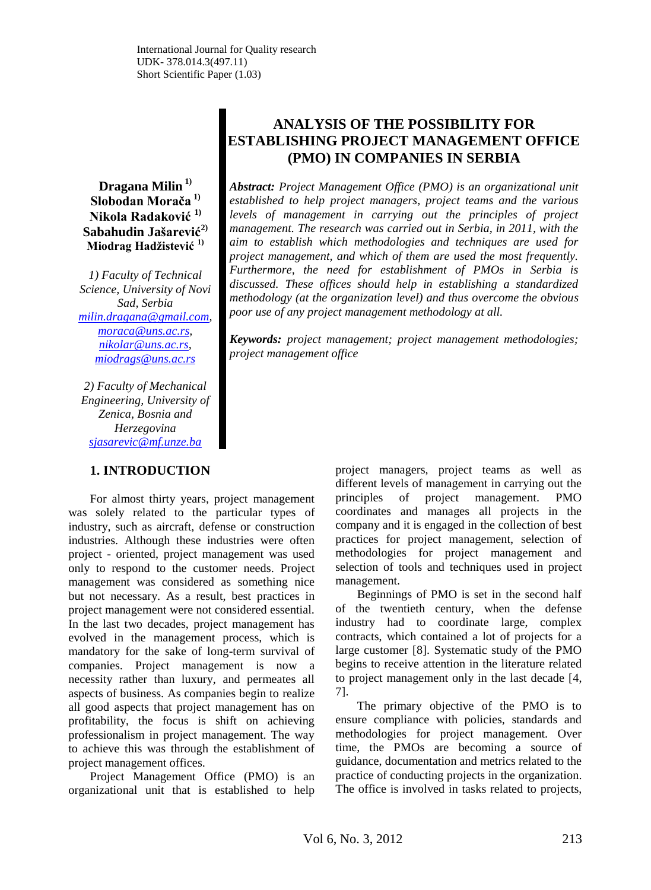**Dragana Milin 1) Slobodan Morača 1) Nikola Radaković 1) Sabahudin Jašarević2) Miodrag Hadžistević 1)**

*1) Faculty of Technical Science, University of Novi Sad, Serbia [milin.dragana@gmail.com,](mailto:milin.dragana@gmail.com) [moraca@uns.ac.rs,](mailto:moraca@uns.ac.rs) [nikolar@uns.ac.rs,](mailto:nikolar@uns.ac.rs) [miodrags@uns.ac.rs](mailto:miodrags@uns.ac.rs)*

*2) Faculty of Mechanical Engineering, University of Zenica, Bosnia and Herzegovina [sjasarevic@mf.unze.ba](mailto:sjasarevic@mf.unze.ba)*

# **1. INTRODUCTION**

For almost thirty years, project management was solely related to the particular types of industry, such as aircraft, defense or construction industries. Although these industries were often project - oriented, project management was used only to respond to the customer needs. Project management was considered as something nice but not necessary. As a result, best practices in project management were not considered essential. In the last two decades, project management has evolved in the management process, which is mandatory for the sake of long-term survival of companies. Project management is now a necessity rather than luxury, and permeates all aspects of business. As companies begin to realize all good aspects that project management has on profitability, the focus is shift on achieving professionalism in project management. The way to achieve this was through the establishment of project management offices.

Project Management Office (PMO) is an organizational unit that is established to help

# **ANALYSIS OF THE POSSIBILITY FOR ESTABLISHING PROJECT MANAGEMENT OFFICE (PMO) IN COMPANIES IN SERBIA**

*Abstract: Project Management Office (PMO) is an organizational unit established to help project managers, project teams and the various levels of management in carrying out the principles of project management. The research was carried out in Serbia, in 2011, with the aim to establish which methodologies and techniques are used for project management, and which of them are used the most frequently. Furthermore, the need for establishment of PMOs in Serbia is discussed. These offices should help in establishing a standardized methodology (at the organization level) and thus overcome the obvious poor use of any project management methodology at all.*

*Keywords: project management; project management methodologies; project management office*

> project managers, project teams as well as different levels of management in carrying out the principles of project management. PMO coordinates and manages all projects in the company and it is engaged in the collection of best practices for project management, selection of methodologies for project management and selection of tools and techniques used in project management.

> Beginnings of PMO is set in the second half of the twentieth century, when the defense industry had to coordinate large, complex contracts, which contained a lot of projects for a large customer [8]. Systematic study of the PMO begins to receive attention in the literature related to project management only in the last decade [4, 7].

> The primary objective of the PMO is to ensure compliance with policies, standards and methodologies for project management. Over time, the PMOs are becoming a source of guidance, documentation and metrics related to the practice of conducting projects in the organization. The office is involved in tasks related to projects,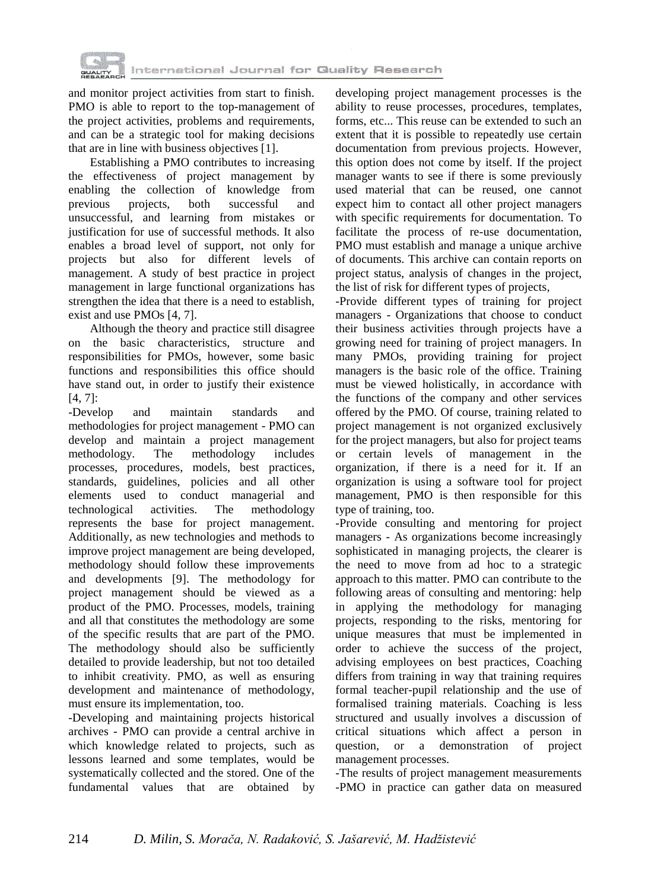

and monitor project activities from start to finish. PMO is able to report to the top-management of the project activities, problems and requirements, and can be a strategic tool for making decisions that are in line with business objectives [1].

Establishing a PMO contributes to increasing the effectiveness of project management by enabling the collection of knowledge from previous projects, both successful and unsuccessful, and learning from mistakes or justification for use of successful methods. It also enables a broad level of support, not only for projects but also for different levels of management. A study of best practice in project management in large functional organizations has strengthen the idea that there is a need to establish, exist and use PMOs [4, 7].

Although the theory and practice still disagree on the basic characteristics, structure and responsibilities for PMOs, however, some basic functions and responsibilities this office should have stand out, in order to justify their existence [4, 7]:

-Develop and maintain standards and methodologies for project management - PMO can develop and maintain a project management methodology. The methodology includes processes, procedures, models, best practices, standards, guidelines, policies and all other elements used to conduct managerial and technological activities. The methodology represents the base for project management. Additionally, as new technologies and methods to improve project management are being developed, methodology should follow these improvements and developments [9]. The methodology for project management should be viewed as a product of the PMO. Processes, models, training and all that constitutes the methodology are some of the specific results that are part of the PMO. The methodology should also be sufficiently detailed to provide leadership, but not too detailed to inhibit creativity. PMO, as well as ensuring development and maintenance of methodology, must ensure its implementation, too.

-Developing and maintaining projects historical archives - PMO can provide a central archive in which knowledge related to projects, such as lessons learned and some templates, would be systematically collected and the stored. One of the fundamental values that are obtained by developing project management processes is the ability to reuse processes, procedures, templates, forms, etc... This reuse can be extended to such an extent that it is possible to repeatedly use certain documentation from previous projects. However, this option does not come by itself. If the project manager wants to see if there is some previously used material that can be reused, one cannot expect him to contact all other project managers with specific requirements for documentation. To facilitate the process of re-use documentation, PMO must establish and manage a unique archive of documents. This archive can contain reports on project status, analysis of changes in the project, the list of risk for different types of projects,

-Provide different types of training for project managers - Organizations that choose to conduct their business activities through projects have a growing need for training of project managers. In many PMOs, providing training for project managers is the basic role of the office. Training must be viewed holistically, in accordance with the functions of the company and other services offered by the PMO. Of course, training related to project management is not organized exclusively for the project managers, but also for project teams or certain levels of management in the organization, if there is a need for it. If an organization is using a software tool for project management, PMO is then responsible for this type of training, too.

-Provide consulting and mentoring for project managers - As organizations become increasingly sophisticated in managing projects, the clearer is the need to move from ad hoc to a strategic approach to this matter. PMO can contribute to the following areas of consulting and mentoring: help in applying the methodology for managing projects, responding to the risks, mentoring for unique measures that must be implemented in order to achieve the success of the project, advising employees on best practices, Coaching differs from training in way that training requires formal teacher-pupil relationship and the use of formalised training materials. Coaching is less structured and usually involves a discussion of critical situations which affect a person in question, or a demonstration of project management processes.

-The results of project management measurements -PMO in practice can gather data on measured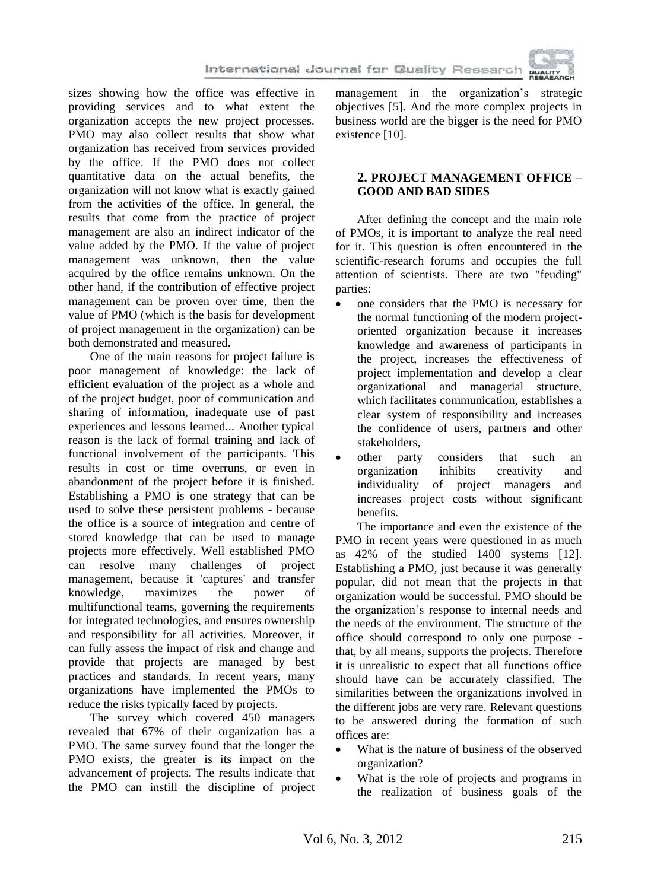

sizes showing how the office was effective in providing services and to what extent the organization accepts the new project processes. PMO may also collect results that show what organization has received from services provided by the office. If the PMO does not collect quantitative data on the actual benefits, the organization will not know what is exactly gained from the activities of the office. In general, the results that come from the practice of project management are also an indirect indicator of the value added by the PMO. If the value of project management was unknown, then the value acquired by the office remains unknown. On the other hand, if the contribution of effective project management can be proven over time, then the value of PMO (which is the basis for development of project management in the organization) can be both demonstrated and measured.

One of the main reasons for project failure is poor management of knowledge: the lack of efficient evaluation of the project as a whole and of the project budget, poor of communication and sharing of information, inadequate use of past experiences and lessons learned... Another typical reason is the lack of formal training and lack of functional involvement of the participants. This results in cost or time overruns, or even in abandonment of the project before it is finished. Establishing a PMO is one strategy that can be used to solve these persistent problems - because the office is a source of integration and centre of stored knowledge that can be used to manage projects more effectively. Well established PMO can resolve many challenges of project management, because it 'captures' and transfer knowledge, maximizes the power of multifunctional teams, governing the requirements for integrated technologies, and ensures ownership and responsibility for all activities. Moreover, it can fully assess the impact of risk and change and provide that projects are managed by best practices and standards. In recent years, many organizations have implemented the PMOs to reduce the risks typically faced by projects.

The survey which covered 450 managers revealed that 67% of their organization has a PMO. The same survey found that the longer the PMO exists, the greater is its impact on the advancement of projects. The results indicate that the PMO can instill the discipline of project management in the organization's strategic objectives [5]. And the more complex projects in business world are the bigger is the need for PMO existence [10].

### **2. PROJECT MANAGEMENT OFFICE – GOOD AND BAD SIDES**

After defining the concept and the main role of PMOs, it is important to analyze the real need for it. This question is often encountered in the scientific-research forums and occupies the full attention of scientists. There are two "feuding" parties:

- one considers that the PMO is necessary for the normal functioning of the modern projectoriented organization because it increases knowledge and awareness of participants in the project, increases the effectiveness of project implementation and develop a clear organizational and managerial structure, which facilitates communication, establishes a clear system of responsibility and increases the confidence of users, partners and other stakeholders,
- other party considers that such an organization inhibits creativity and individuality of project managers and increases project costs without significant benefits.

The importance and even the existence of the PMO in recent years were questioned in as much as 42% of the studied 1400 systems [12]. Establishing a PMO, just because it was generally popular, did not mean that the projects in that organization would be successful. PMO should be the organization's response to internal needs and the needs of the environment. The structure of the office should correspond to only one purpose that, by all means, supports the projects. Therefore it is unrealistic to expect that all functions office should have can be accurately classified. The similarities between the organizations involved in the different jobs are very rare. Relevant questions to be answered during the formation of such offices are:

- What is the nature of business of the observed organization?
- What is the role of projects and programs in the realization of business goals of the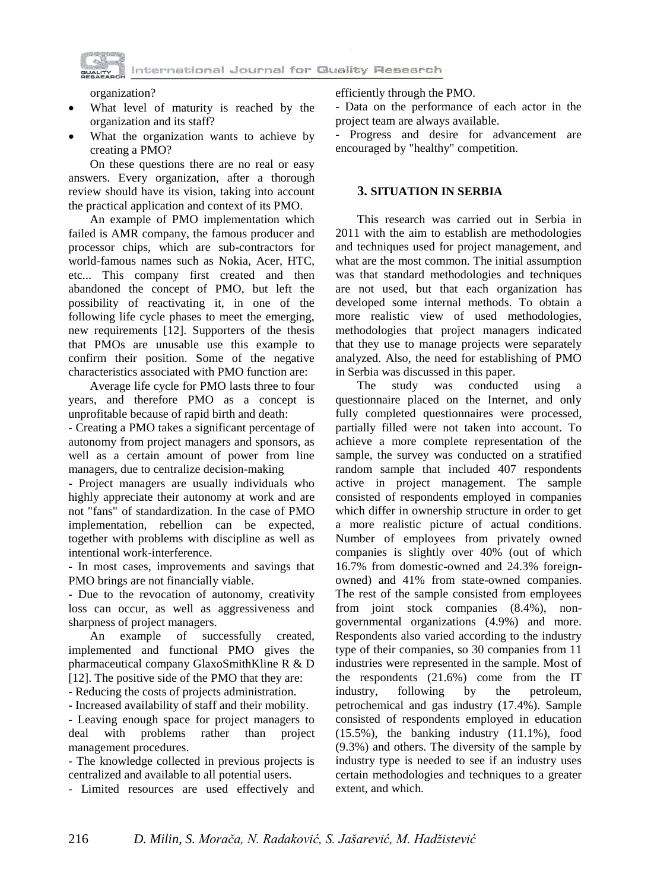

organization?

- What level of maturity is reached by the organization and its staff?
- What the organization wants to achieve by creating a PMO?

On these questions there are no real or easy answers. Every organization, after a thorough review should have its vision, taking into account the practical application and context of its PMO.

An example of PMO implementation which failed is AMR company, the famous producer and processor chips, which are sub-contractors for world-famous names such as Nokia, Acer, HTC, etc... This company first created and then abandoned the concept of PMO, but left the possibility of reactivating it, in one of the following life cycle phases to meet the emerging, new requirements [12]. Supporters of the thesis that PMOs are unusable use this example to confirm their position. Some of the negative characteristics associated with PMO function are:

Average life cycle for PMO lasts three to four years, and therefore PMO as a concept is unprofitable because of rapid birth and death:

- Creating a PMO takes a significant percentage of autonomy from project managers and sponsors, as well as a certain amount of power from line managers, due to centralize decision-making

- Project managers are usually individuals who highly appreciate their autonomy at work and are not "fans" of standardization. In the case of PMO implementation, rebellion can be expected, together with problems with discipline as well as intentional work-interference.

- In most cases, improvements and savings that PMO brings are not financially viable.

- Due to the revocation of autonomy, creativity loss can occur, as well as aggressiveness and sharpness of project managers.

An example of successfully created, implemented and functional PMO gives the pharmaceutical company GlaxoSmithKline R & D [12]. The positive side of the PMO that they are:

- Reducing the costs of projects administration.

- Increased availability of staff and their mobility.

- Leaving enough space for project managers to deal with problems rather than project management procedures.

- The knowledge collected in previous projects is centralized and available to all potential users.

- Limited resources are used effectively and

efficiently through the PMO.

- Data on the performance of each actor in the project team are always available.

- Progress and desire for advancement are encouraged by "healthy" competition.

#### **3. SITUATION IN SERBIA**

This research was carried out in Serbia in 2011 with the aim to establish are methodologies and techniques used for project management, and what are the most common. The initial assumption was that standard methodologies and techniques are not used, but that each organization has developed some internal methods. To obtain a more realistic view of used methodologies, methodologies that project managers indicated that they use to manage projects were separately analyzed. Also, the need for establishing of PMO in Serbia was discussed in this paper.

The study was conducted using a questionnaire placed on the Internet, and only fully completed questionnaires were processed, partially filled were not taken into account. To achieve a more complete representation of the sample, the survey was conducted on a stratified random sample that included 407 respondents active in project management. The sample consisted of respondents employed in companies which differ in ownership structure in order to get a more realistic picture of actual conditions. Number of employees from privately owned companies is slightly over 40% (out of which 16.7% from domestic-owned and 24.3% foreignowned) and 41% from state-owned companies. The rest of the sample consisted from employees from joint stock companies (8.4%), nongovernmental organizations (4.9%) and more. Respondents also varied according to the industry type of their companies, so 30 companies from 11 industries were represented in the sample. Most of the respondents (21.6%) come from the IT industry, following by the petroleum, petrochemical and gas industry (17.4%). Sample consisted of respondents employed in education  $(15.5\%)$ , the banking industry  $(11.1\%)$ , food (9.3%) and others. The diversity of the sample by industry type is needed to see if an industry uses certain methodologies and techniques to a greater extent, and which.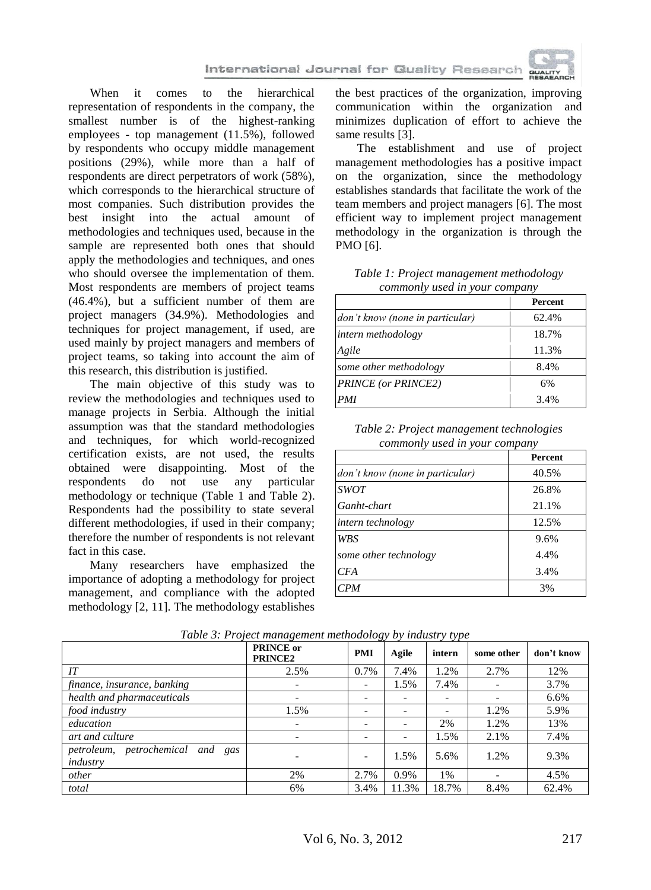

When it comes to the hierarchical representation of respondents in the company, the smallest number is of the highest-ranking employees - top management (11.5%), followed by respondents who occupy middle management positions (29%), while more than a half of respondents are direct perpetrators of work (58%), which corresponds to the hierarchical structure of most companies. Such distribution provides the best insight into the actual amount of methodologies and techniques used, because in the sample are represented both ones that should apply the methodologies and techniques, and ones who should oversee the implementation of them. Most respondents are members of project teams (46.4%), but a sufficient number of them are project managers (34.9%). Methodologies and techniques for project management, if used, are used mainly by project managers and members of project teams, so taking into account the aim of this research, this distribution is justified.

The main objective of this study was to review the methodologies and techniques used to manage projects in Serbia. Although the initial assumption was that the standard methodologies and techniques, for which world-recognized certification exists, are not used, the results obtained were disappointing. Most of the respondents do not use any particular methodology or technique (Table 1 and Table 2). Respondents had the possibility to state several different methodologies, if used in their company; therefore the number of respondents is not relevant fact in this case.

Many researchers have emphasized the importance of adopting a methodology for project management, and compliance with the adopted methodology [2, 11]. The methodology establishes

the best practices of the organization, improving communication within the organization and minimizes duplication of effort to achieve the same results [3].

The establishment and use of project management methodologies has a positive impact on the organization, since the methodology establishes standards that facilitate the work of the team members and project managers [6]. The most efficient way to implement project management methodology in the organization is through the PMO [6].

| Table 1: Project management methodology |  |
|-----------------------------------------|--|
| commonly used in your company           |  |

|                                 | Percent |
|---------------------------------|---------|
| don't know (none in particular) | 62.4%   |
| intern methodology              | 18.7%   |
| Agile                           | 11.3%   |
| some other methodology          | 8.4%    |
| <b>PRINCE</b> (or PRINCE2)      | 6%      |
| <b>PMI</b>                      | 3.4%    |

*Table 2: Project management technologies commonly used in your company*

|                                 | <b>Percent</b> |
|---------------------------------|----------------|
| don't know (none in particular) | 40.5%          |
| <b>SWOT</b>                     | 26.8%          |
| Ganht-chart                     | 21.1%          |
| <i>intern technology</i>        | 12.5%          |
| WBS                             | 9.6%           |
| some other technology           | 4.4%           |
| CFA                             | 3.4%           |
| <b>CPM</b>                      | 3%             |

| Tubic 9. 1 Toject management methodology by thansity type |                                    |                          |       |        |            |            |
|-----------------------------------------------------------|------------------------------------|--------------------------|-------|--------|------------|------------|
|                                                           | <b>PRINCE</b> or<br><b>PRINCE2</b> | <b>PMI</b>               | Agile | intern | some other | don't know |
| IT                                                        | 2.5%                               | 0.7%                     | 7.4%  | 1.2%   | 2.7%       | 12%        |
| finance, insurance, banking                               |                                    |                          | 1.5%  | 7.4%   |            | 3.7%       |
| health and pharmaceuticals                                |                                    |                          |       |        |            | $6.6\%$    |
| food industry                                             | 1.5%                               | $\overline{\phantom{0}}$ |       |        | 1.2%       | 5.9%       |
| education                                                 |                                    | $\overline{\phantom{0}}$ |       | 2%     | 1.2%       | 13%        |
| art and culture                                           |                                    |                          |       | 1.5%   | 2.1%       | 7.4%       |
| petroleum, petrochemical and<br>gas<br>industry           |                                    |                          | 1.5%  | 5.6%   | 1.2%       | 9.3%       |
| other                                                     | 2%                                 | 2.7%                     | 0.9%  | $1\%$  |            | 4.5%       |
| total                                                     | 6%                                 | 3.4%                     | 11.3% | 18.7%  | 8.4%       | 62.4%      |

*Table 3: Project management methodology by industry type*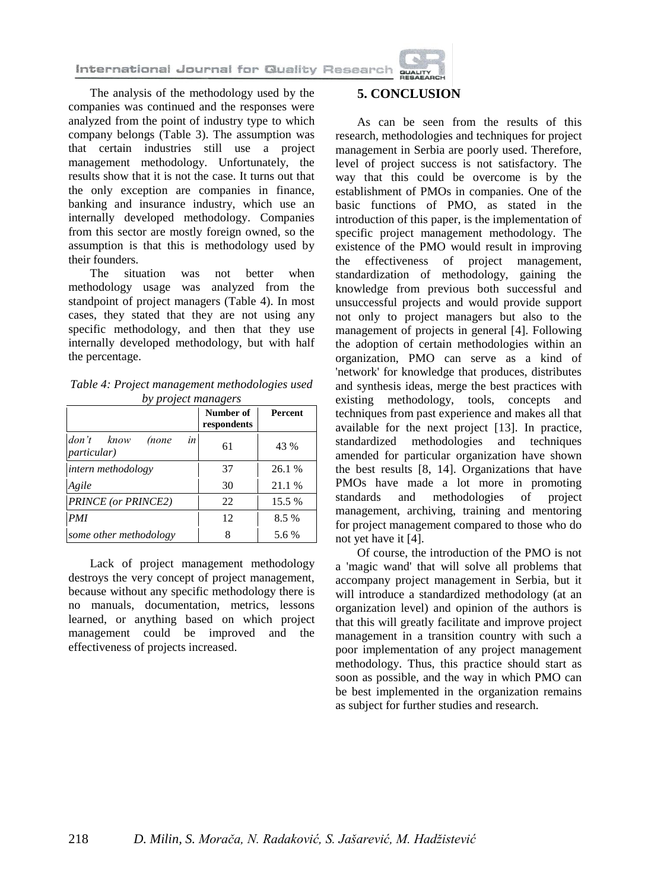The analysis of the methodology used by the companies was continued and the responses were analyzed from the point of industry type to which company belongs (Table 3). The assumption was that certain industries still use a project management methodology. Unfortunately, the results show that it is not the case. It turns out that the only exception are companies in finance, banking and insurance industry, which use an internally developed methodology. Companies from this sector are mostly foreign owned, so the assumption is that this is methodology used by their founders.

The situation was not better when methodology usage was analyzed from the standpoint of project managers (Table 4). In most cases, they stated that they are not using any specific methodology, and then that they use internally developed methodology, but with half the percentage.

*Table 4: Project management methodologies used by project managers*

|                                                  | Number of<br>respondents | <b>Percent</b> |
|--------------------------------------------------|--------------------------|----------------|
| don't know<br>in<br>(none<br><i>particular</i> ) | 61                       | 43 %           |
| intern methodology                               | 37                       | 26.1 %         |
| Agile                                            | 30                       | 21.1 %         |
| <b>PRINCE</b> (or PRINCE2)                       | 22                       | 15.5 %         |
| <i>PMI</i>                                       | 12                       | 8.5 %          |
| some other methodology                           | 8                        | 5.6 %          |

Lack of project management methodology destroys the very concept of project management, because without any specific methodology there is no manuals, documentation, metrics, lessons learned, or anything based on which project management could be improved and the effectiveness of projects increased.

## **5. CONCLUSION**

As can be seen from the results of this research, methodologies and techniques for project management in Serbia are poorly used. Therefore, level of project success is not satisfactory. The way that this could be overcome is by the establishment of PMOs in companies. One of the basic functions of PMO, as stated in the introduction of this paper, is the implementation of specific project management methodology. The existence of the PMO would result in improving the effectiveness of project management, standardization of methodology, gaining the knowledge from previous both successful and unsuccessful projects and would provide support not only to project managers but also to the management of projects in general [4]. Following the adoption of certain methodologies within an organization, PMO can serve as a kind of 'network' for knowledge that produces, distributes and synthesis ideas, merge the best practices with existing methodology, tools, concepts and techniques from past experience and makes all that available for the next project [13]. In practice, standardized methodologies and techniques amended for particular organization have shown the best results [8, 14]. Organizations that have PMOs have made a lot more in promoting<br>standards and methodologies of project and methodologies of project management, archiving, training and mentoring for project management compared to those who do not yet have it [4].

Of course, the introduction of the PMO is not a 'magic wand' that will solve all problems that accompany project management in Serbia, but it will introduce a standardized methodology (at an organization level) and opinion of the authors is that this will greatly facilitate and improve project management in a transition country with such a poor implementation of any project management methodology. Thus, this practice should start as soon as possible, and the way in which PMO can be best implemented in the organization remains as subject for further studies and research.